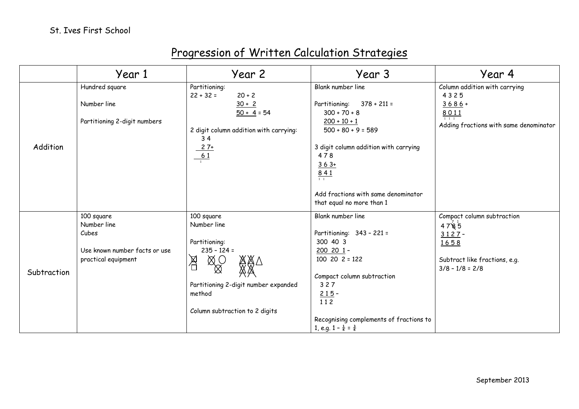## Progression of Written Calculation Strategies

|             | Year 1                        | Year 2                                       | Year 3                                                           | Year 4                                 |
|-------------|-------------------------------|----------------------------------------------|------------------------------------------------------------------|----------------------------------------|
| Addition    | Hundred square                | Partitioning:<br>$20 + 2$<br>$22 + 32 =$     | Blank number line                                                | Column addition with carrying<br>4325  |
|             | Number line                   | $30 + 2$<br>$50 + 4 = 54$                    | $378 + 211 =$<br>Partitioning:<br>$300 + 70 + 8$                 | $3686+$<br>8011                        |
|             | Partitioning 2-digit numbers  | 2 digit column addition with carrying:<br>34 | $200 + 10 + 1$<br>$500 + 80 + 9 = 589$                           | Adding fractions with same denominator |
|             |                               | $\frac{27+}{61}$                             | 3 digit column addition with carrying<br>478<br>$363+$           |                                        |
|             |                               |                                              | 841                                                              |                                        |
|             |                               |                                              | Add fractions with same denominator<br>that equal no more than 1 |                                        |
| Subtraction | 100 square                    | 100 square                                   | Blank number line                                                | Compact column subtraction             |
|             | Number line<br>Cubes          | Number line                                  | Partitioning: 343 - 221 =                                        | 4785                                   |
|             |                               | Partitioning:                                | 300 40 3                                                         | $3127 -$<br>1658                       |
|             | Use known number facts or use | $235 - 124 =$                                | $200$ 20 1 -                                                     |                                        |
|             | practical equipment           | 恩                                            | $100$ 20 $2 = 122$                                               | Subtract like fractions, e.g.          |
|             |                               | $\bigotimes_{\bigotimes}^{\bigotimes}$       |                                                                  | $3/8 - 1/8 = 2/8$                      |
|             |                               |                                              | Compact column subtraction                                       |                                        |
|             |                               | Partitioning 2-digit number expanded         | 327                                                              |                                        |
|             |                               | method                                       | $215 -$<br>112                                                   |                                        |
|             |                               | Column subtraction to 2 digits               |                                                                  |                                        |
|             |                               |                                              | Recognising complements of fractions to                          |                                        |
|             |                               |                                              | 1, e.g. $1 - \frac{1}{4} = \frac{3}{4}$                          |                                        |